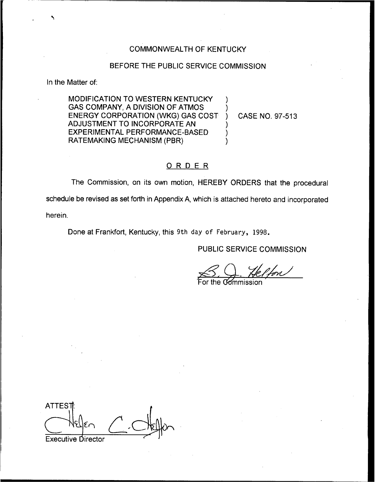### COMMONWEALTH OF KENTUCKY

#### BEFORE THE PUBLIC SERVICE COMMISSION

In the Matter of:

MODIFICATION TO WESTERN KENTUCKY GAS COMPANY, A DIVISION OF ATMOS ENERGY CORPORATION (WKG) GAS COST AD JUSTMENT TO INCORPORATE AN EXPERIMENTAL PERFORMANCE-BASED RATEMAKING MECHANISM (PBR)

) CASE NO. 97-513

### ORDER

The Commission, on its own motion, HEREBY ORDERS that the procedural schedule be revised as set forth in Appendix A, which is attached hereto and incorporated herein.

Done at Frankfort, Kentucky, this 9th day of February, 1998.

PUBLIC SERVICE COMMISSION

S. Q. He<br>For the Gommissio  $\frac{1}{100}$ 

) )

)  $\overline{\phantom{a}}$ )

ATTES<sub>1</sub> Executive Director